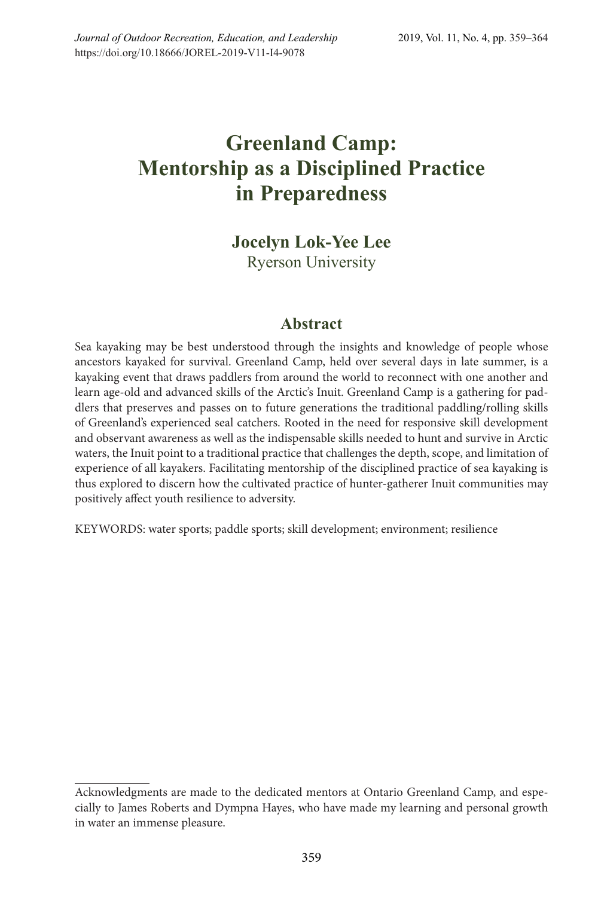# **Greenland Camp: Mentorship as a Disciplined Practice in Preparedness**

## **Jocelyn Lok-Yee Lee** Ryerson University

### **Abstract**

Sea kayaking may be best understood through the insights and knowledge of people whose ancestors kayaked for survival. Greenland Camp, held over several days in late summer, is a kayaking event that draws paddlers from around the world to reconnect with one another and learn age-old and advanced skills of the Arctic's Inuit. Greenland Camp is a gathering for paddlers that preserves and passes on to future generations the traditional paddling/rolling skills of Greenland's experienced seal catchers. Rooted in the need for responsive skill development and observant awareness as well as the indispensable skills needed to hunt and survive in Arctic waters, the Inuit point to a traditional practice that challenges the depth, scope, and limitation of experience of all kayakers. Facilitating mentorship of the disciplined practice of sea kayaking is thus explored to discern how the cultivated practice of hunter-gatherer Inuit communities may positively affect youth resilience to adversity.

KEYWORDS: water sports; paddle sports; skill development; environment; resilience

Acknowledgments are made to the dedicated mentors at Ontario Greenland Camp, and especially to James Roberts and Dympna Hayes, who have made my learning and personal growth in water an immense pleasure.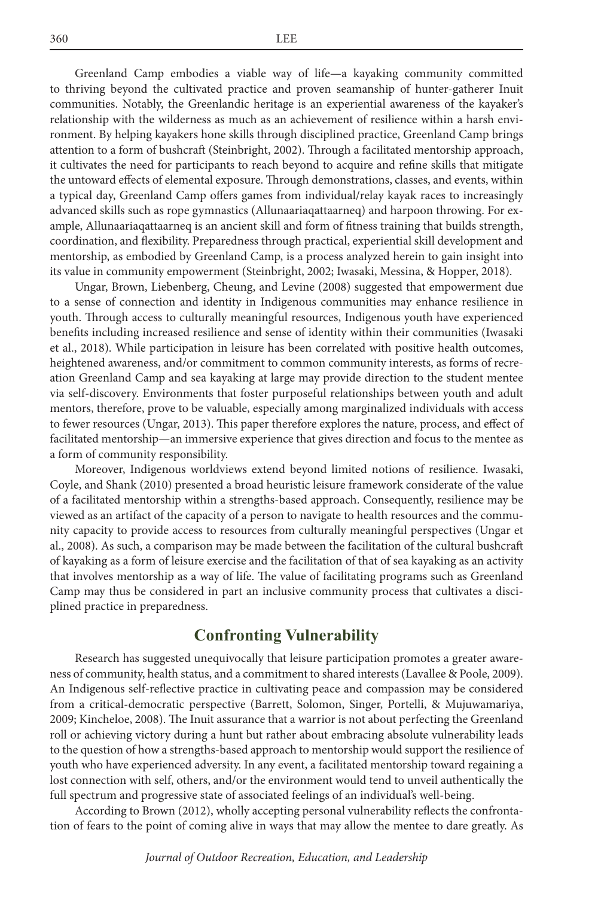Greenland Camp embodies a viable way of life—a kayaking community committed to thriving beyond the cultivated practice and proven seamanship of hunter-gatherer Inuit communities. Notably, the Greenlandic heritage is an experiential awareness of the kayaker's relationship with the wilderness as much as an achievement of resilience within a harsh environment. By helping kayakers hone skills through disciplined practice, Greenland Camp brings attention to a form of bushcraft (Steinbright, 2002). Through a facilitated mentorship approach, it cultivates the need for participants to reach beyond to acquire and refine skills that mitigate the untoward effects of elemental exposure. Through demonstrations, classes, and events, within a typical day, Greenland Camp offers games from individual/relay kayak races to increasingly advanced skills such as rope gymnastics (Allunaariaqattaarneq) and harpoon throwing. For example, Allunaariaqattaarneq is an ancient skill and form of fitness training that builds strength, coordination, and flexibility. Preparedness through practical, experiential skill development and mentorship, as embodied by Greenland Camp, is a process analyzed herein to gain insight into its value in community empowerment (Steinbright, 2002; Iwasaki, Messina, & Hopper, 2018).

Ungar, Brown, Liebenberg, Cheung, and Levine (2008) suggested that empowerment due to a sense of connection and identity in Indigenous communities may enhance resilience in youth. Through access to culturally meaningful resources, Indigenous youth have experienced benefits including increased resilience and sense of identity within their communities (Iwasaki et al., 2018). While participation in leisure has been correlated with positive health outcomes, heightened awareness, and/or commitment to common community interests, as forms of recreation Greenland Camp and sea kayaking at large may provide direction to the student mentee via self-discovery. Environments that foster purposeful relationships between youth and adult mentors, therefore, prove to be valuable, especially among marginalized individuals with access to fewer resources (Ungar, 2013). This paper therefore explores the nature, process, and effect of facilitated mentorship—an immersive experience that gives direction and focus to the mentee as a form of community responsibility.

Moreover, Indigenous worldviews extend beyond limited notions of resilience. Iwasaki, Coyle, and Shank (2010) presented a broad heuristic leisure framework considerate of the value of a facilitated mentorship within a strengths-based approach. Consequently, resilience may be viewed as an artifact of the capacity of a person to navigate to health resources and the community capacity to provide access to resources from culturally meaningful perspectives (Ungar et al., 2008). As such, a comparison may be made between the facilitation of the cultural bushcraft of kayaking as a form of leisure exercise and the facilitation of that of sea kayaking as an activity that involves mentorship as a way of life. The value of facilitating programs such as Greenland Camp may thus be considered in part an inclusive community process that cultivates a disciplined practice in preparedness.

### **Confronting Vulnerability**

Research has suggested unequivocally that leisure participation promotes a greater awareness of community, health status, and a commitment to shared interests (Lavallee & Poole, 2009). An Indigenous self-reflective practice in cultivating peace and compassion may be considered from a critical-democratic perspective (Barrett, Solomon, Singer, Portelli, & Mujuwamariya, 2009; Kincheloe, 2008). The Inuit assurance that a warrior is not about perfecting the Greenland roll or achieving victory during a hunt but rather about embracing absolute vulnerability leads to the question of how a strengths-based approach to mentorship would support the resilience of youth who have experienced adversity. In any event, a facilitated mentorship toward regaining a lost connection with self, others, and/or the environment would tend to unveil authentically the full spectrum and progressive state of associated feelings of an individual's well-being.

According to Brown (2012), wholly accepting personal vulnerability reflects the confrontation of fears to the point of coming alive in ways that may allow the mentee to dare greatly. As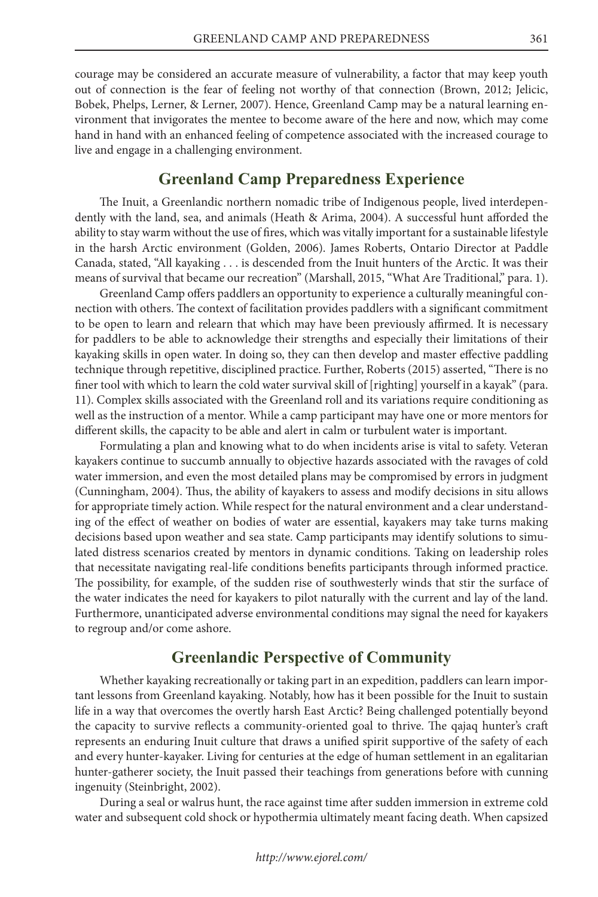courage may be considered an accurate measure of vulnerability, a factor that may keep youth out of connection is the fear of feeling not worthy of that connection (Brown, 2012; Jelicic, Bobek, Phelps, Lerner, & Lerner, 2007). Hence, Greenland Camp may be a natural learning environment that invigorates the mentee to become aware of the here and now, which may come hand in hand with an enhanced feeling of competence associated with the increased courage to live and engage in a challenging environment.

#### **Greenland Camp Preparedness Experience**

The Inuit, a Greenlandic northern nomadic tribe of Indigenous people, lived interdependently with the land, sea, and animals (Heath & Arima, 2004). A successful hunt afforded the ability to stay warm without the use of fires, which was vitally important for a sustainable lifestyle in the harsh Arctic environment (Golden, 2006). James Roberts, Ontario Director at Paddle Canada, stated, "All kayaking . . . is descended from the Inuit hunters of the Arctic. It was their means of survival that became our recreation" (Marshall, 2015, "What Are Traditional," para. 1).

Greenland Camp offers paddlers an opportunity to experience a culturally meaningful connection with others. The context of facilitation provides paddlers with a significant commitment to be open to learn and relearn that which may have been previously affirmed. It is necessary for paddlers to be able to acknowledge their strengths and especially their limitations of their kayaking skills in open water. In doing so, they can then develop and master effective paddling technique through repetitive, disciplined practice. Further, Roberts (2015) asserted, "There is no finer tool with which to learn the cold water survival skill of [righting] yourself in a kayak" (para. 11). Complex skills associated with the Greenland roll and its variations require conditioning as well as the instruction of a mentor. While a camp participant may have one or more mentors for different skills, the capacity to be able and alert in calm or turbulent water is important.

Formulating a plan and knowing what to do when incidents arise is vital to safety. Veteran kayakers continue to succumb annually to objective hazards associated with the ravages of cold water immersion, and even the most detailed plans may be compromised by errors in judgment (Cunningham, 2004). Thus, the ability of kayakers to assess and modify decisions in situ allows for appropriate timely action. While respect for the natural environment and a clear understanding of the effect of weather on bodies of water are essential, kayakers may take turns making decisions based upon weather and sea state. Camp participants may identify solutions to simulated distress scenarios created by mentors in dynamic conditions. Taking on leadership roles that necessitate navigating real-life conditions benefits participants through informed practice. The possibility, for example, of the sudden rise of southwesterly winds that stir the surface of the water indicates the need for kayakers to pilot naturally with the current and lay of the land. Furthermore, unanticipated adverse environmental conditions may signal the need for kayakers to regroup and/or come ashore.

#### **Greenlandic Perspective of Community**

Whether kayaking recreationally or taking part in an expedition, paddlers can learn important lessons from Greenland kayaking. Notably, how has it been possible for the Inuit to sustain life in a way that overcomes the overtly harsh East Arctic? Being challenged potentially beyond the capacity to survive reflects a community-oriented goal to thrive. The qajaq hunter's craft represents an enduring Inuit culture that draws a unified spirit supportive of the safety of each and every hunter-kayaker. Living for centuries at the edge of human settlement in an egalitarian hunter-gatherer society, the Inuit passed their teachings from generations before with cunning ingenuity (Steinbright, 2002).

During a seal or walrus hunt, the race against time after sudden immersion in extreme cold water and subsequent cold shock or hypothermia ultimately meant facing death. When capsized

*http://www.ejorel.com/*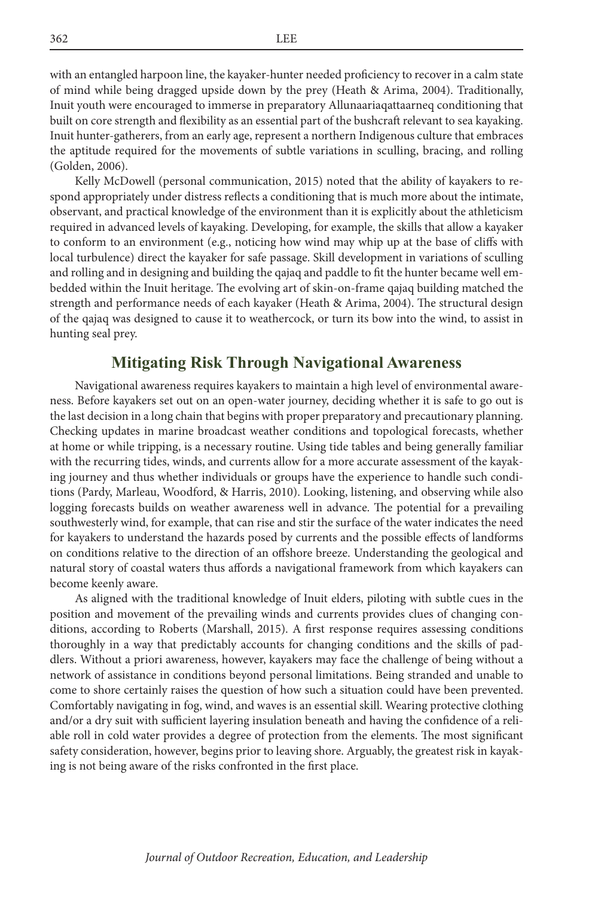with an entangled harpoon line, the kayaker-hunter needed proficiency to recover in a calm state of mind while being dragged upside down by the prey (Heath & Arima, 2004). Traditionally, Inuit youth were encouraged to immerse in preparatory Allunaariaqattaarneq conditioning that built on core strength and flexibility as an essential part of the bushcraft relevant to sea kayaking. Inuit hunter-gatherers, from an early age, represent a northern Indigenous culture that embraces the aptitude required for the movements of subtle variations in sculling, bracing, and rolling (Golden, 2006).

Kelly McDowell (personal communication, 2015) noted that the ability of kayakers to respond appropriately under distress reflects a conditioning that is much more about the intimate, observant, and practical knowledge of the environment than it is explicitly about the athleticism required in advanced levels of kayaking. Developing, for example, the skills that allow a kayaker to conform to an environment (e.g., noticing how wind may whip up at the base of cliffs with local turbulence) direct the kayaker for safe passage. Skill development in variations of sculling and rolling and in designing and building the qajaq and paddle to fit the hunter became well embedded within the Inuit heritage. The evolving art of skin-on-frame qajaq building matched the strength and performance needs of each kayaker (Heath & Arima, 2004). The structural design of the qajaq was designed to cause it to weathercock, or turn its bow into the wind, to assist in hunting seal prey.

#### **Mitigating Risk Through Navigational Awareness**

Navigational awareness requires kayakers to maintain a high level of environmental awareness. Before kayakers set out on an open-water journey, deciding whether it is safe to go out is the last decision in a long chain that begins with proper preparatory and precautionary planning. Checking updates in marine broadcast weather conditions and topological forecasts, whether at home or while tripping, is a necessary routine. Using tide tables and being generally familiar with the recurring tides, winds, and currents allow for a more accurate assessment of the kayaking journey and thus whether individuals or groups have the experience to handle such conditions (Pardy, Marleau, Woodford, & Harris, 2010). Looking, listening, and observing while also logging forecasts builds on weather awareness well in advance. The potential for a prevailing southwesterly wind, for example, that can rise and stir the surface of the water indicates the need for kayakers to understand the hazards posed by currents and the possible effects of landforms on conditions relative to the direction of an offshore breeze. Understanding the geological and natural story of coastal waters thus affords a navigational framework from which kayakers can become keenly aware.

As aligned with the traditional knowledge of Inuit elders, piloting with subtle cues in the position and movement of the prevailing winds and currents provides clues of changing conditions, according to Roberts (Marshall, 2015). A first response requires assessing conditions thoroughly in a way that predictably accounts for changing conditions and the skills of paddlers. Without a priori awareness, however, kayakers may face the challenge of being without a network of assistance in conditions beyond personal limitations. Being stranded and unable to come to shore certainly raises the question of how such a situation could have been prevented. Comfortably navigating in fog, wind, and waves is an essential skill. Wearing protective clothing and/or a dry suit with sufficient layering insulation beneath and having the confidence of a reliable roll in cold water provides a degree of protection from the elements. The most significant safety consideration, however, begins prior to leaving shore. Arguably, the greatest risk in kayaking is not being aware of the risks confronted in the first place.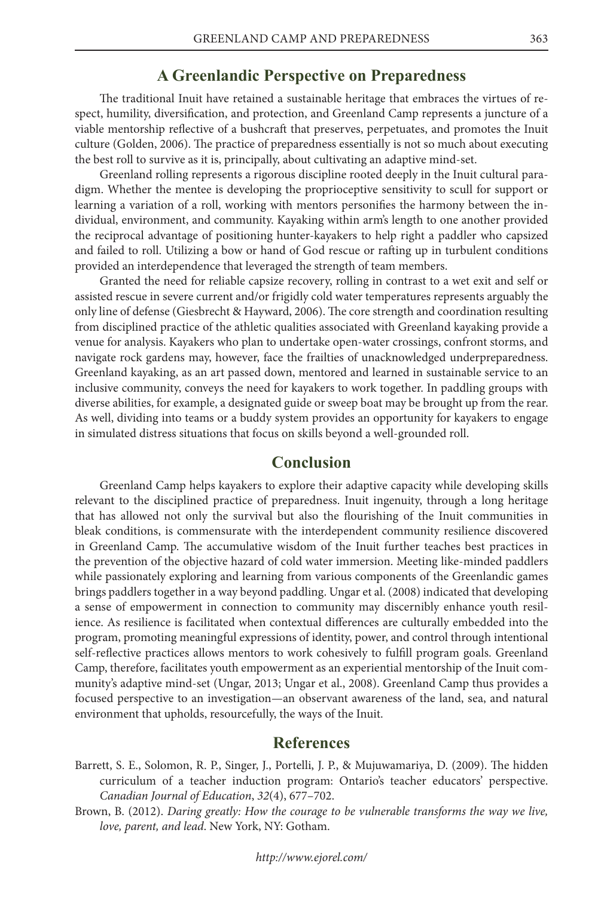#### **A Greenlandic Perspective on Preparedness**

The traditional Inuit have retained a sustainable heritage that embraces the virtues of respect, humility, diversification, and protection, and Greenland Camp represents a juncture of a viable mentorship reflective of a bushcraft that preserves, perpetuates, and promotes the Inuit culture (Golden, 2006). The practice of preparedness essentially is not so much about executing the best roll to survive as it is, principally, about cultivating an adaptive mind-set.

Greenland rolling represents a rigorous discipline rooted deeply in the Inuit cultural paradigm. Whether the mentee is developing the proprioceptive sensitivity to scull for support or learning a variation of a roll, working with mentors personifies the harmony between the individual, environment, and community. Kayaking within arm's length to one another provided the reciprocal advantage of positioning hunter-kayakers to help right a paddler who capsized and failed to roll. Utilizing a bow or hand of God rescue or rafting up in turbulent conditions provided an interdependence that leveraged the strength of team members.

Granted the need for reliable capsize recovery, rolling in contrast to a wet exit and self or assisted rescue in severe current and/or frigidly cold water temperatures represents arguably the only line of defense (Giesbrecht & Hayward, 2006). The core strength and coordination resulting from disciplined practice of the athletic qualities associated with Greenland kayaking provide a venue for analysis. Kayakers who plan to undertake open-water crossings, confront storms, and navigate rock gardens may, however, face the frailties of unacknowledged underpreparedness. Greenland kayaking, as an art passed down, mentored and learned in sustainable service to an inclusive community, conveys the need for kayakers to work together. In paddling groups with diverse abilities, for example, a designated guide or sweep boat may be brought up from the rear. As well, dividing into teams or a buddy system provides an opportunity for kayakers to engage in simulated distress situations that focus on skills beyond a well-grounded roll.

#### **Conclusion**

Greenland Camp helps kayakers to explore their adaptive capacity while developing skills relevant to the disciplined practice of preparedness. Inuit ingenuity, through a long heritage that has allowed not only the survival but also the flourishing of the Inuit communities in bleak conditions, is commensurate with the interdependent community resilience discovered in Greenland Camp. The accumulative wisdom of the Inuit further teaches best practices in the prevention of the objective hazard of cold water immersion. Meeting like-minded paddlers while passionately exploring and learning from various components of the Greenlandic games brings paddlers together in a way beyond paddling. Ungar et al. (2008) indicated that developing a sense of empowerment in connection to community may discernibly enhance youth resilience. As resilience is facilitated when contextual differences are culturally embedded into the program, promoting meaningful expressions of identity, power, and control through intentional self-reflective practices allows mentors to work cohesively to fulfill program goals. Greenland Camp, therefore, facilitates youth empowerment as an experiential mentorship of the Inuit community's adaptive mind-set (Ungar, 2013; Ungar et al., 2008). Greenland Camp thus provides a focused perspective to an investigation—an observant awareness of the land, sea, and natural environment that upholds, resourcefully, the ways of the Inuit.

#### **References**

- Barrett, S. E., Solomon, R. P., Singer, J., Portelli, J. P., & Mujuwamariya, D. (2009). The hidden curriculum of a teacher induction program: Ontario's teacher educators' perspective. *Canadian Journal of Education*, *32*(4), 677–702.
- Brown, B. (2012). *Daring greatly: How the courage to be vulnerable transforms the way we live, love, parent, and lead*. New York, NY: Gotham.